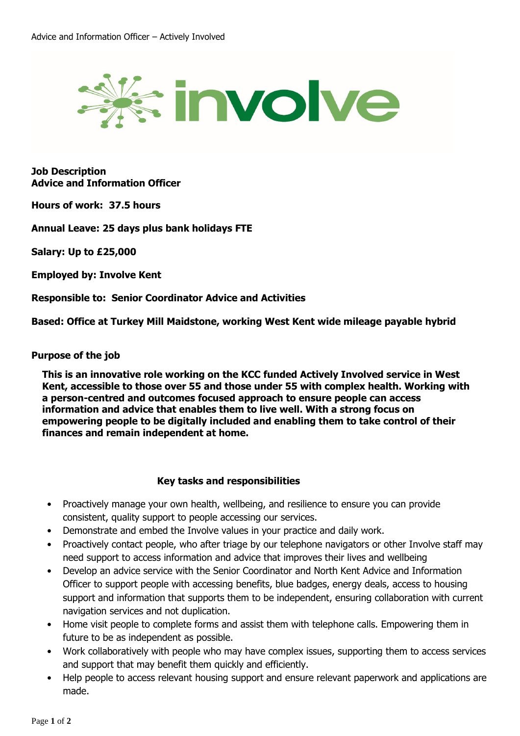

**Job Description Advice and Information Officer**

**Hours of work: 37.5 hours**

**Annual Leave: 25 days plus bank holidays FTE**

**Salary: Up to £25,000**

**Employed by: Involve Kent**

**Responsible to: Senior Coordinator Advice and Activities**

**Based: Office at Turkey Mill Maidstone, working West Kent wide mileage payable hybrid**

## **Purpose of the job**

**This is an innovative role working on the KCC funded Actively Involved service in West Kent, accessible to those over 55 and those under 55 with complex health. Working with a person-centred and outcomes focused approach to ensure people can access information and advice that enables them to live well. With a strong focus on empowering people to be digitally included and enabling them to take control of their finances and remain independent at home.** 

## **Key tasks and responsibilities**

- Proactively manage your own health, wellbeing, and resilience to ensure you can provide consistent, quality support to people accessing our services.
- Demonstrate and embed the Involve values in your practice and daily work.
- Proactively contact people, who after triage by our telephone navigators or other Involve staff may need support to access information and advice that improves their lives and wellbeing
- Develop an advice service with the Senior Coordinator and North Kent Advice and Information Officer to support people with accessing benefits, blue badges, energy deals, access to housing support and information that supports them to be independent, ensuring collaboration with current navigation services and not duplication.
- Home visit people to complete forms and assist them with telephone calls. Empowering them in future to be as independent as possible.
- Work collaboratively with people who may have complex issues, supporting them to access services and support that may benefit them quickly and efficiently.
- Help people to access relevant housing support and ensure relevant paperwork and applications are made.